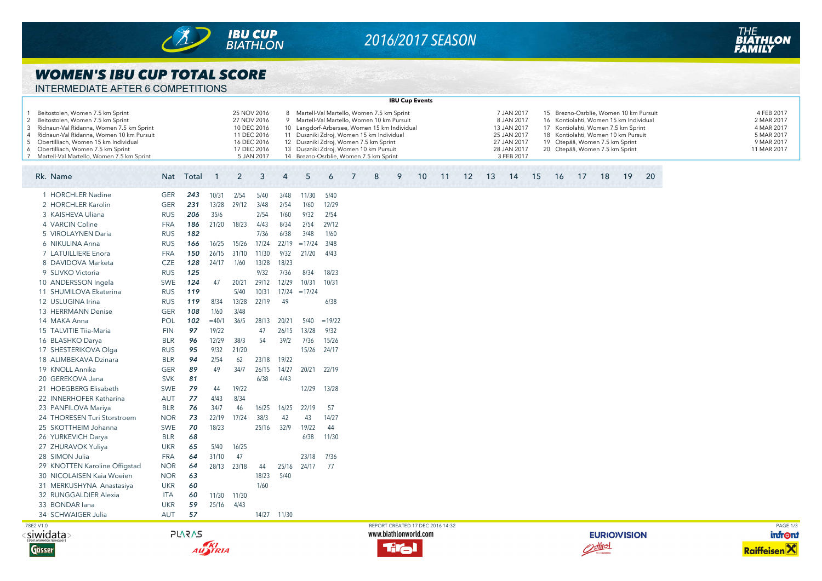

# *2016/2017 SEASON*

### *WOMEN'S IBU CUP TOTAL SCORE*

| INTERMEDIATE AFTER 6 COMPETITIONS |  |
|-----------------------------------|--|
|                                   |  |

|                                                 |                                                                                                                                                                                                                                                                                          |            |           |              |                |                                                                                                      |             |                                                                                                                                                                                                                                                                                                                   |          |   |   |   | <b>IBU Cup Events</b>            |    |    |    |                                                                                                    |    |    |    |                                                                                                                                                                                                                                    |    |    |  |                                                                                   |          |
|-------------------------------------------------|------------------------------------------------------------------------------------------------------------------------------------------------------------------------------------------------------------------------------------------------------------------------------------------|------------|-----------|--------------|----------------|------------------------------------------------------------------------------------------------------|-------------|-------------------------------------------------------------------------------------------------------------------------------------------------------------------------------------------------------------------------------------------------------------------------------------------------------------------|----------|---|---|---|----------------------------------|----|----|----|----------------------------------------------------------------------------------------------------|----|----|----|------------------------------------------------------------------------------------------------------------------------------------------------------------------------------------------------------------------------------------|----|----|--|-----------------------------------------------------------------------------------|----------|
| $\overline{2}$<br>3<br>$\overline{4}$<br>5<br>6 | Beitostolen, Women 7.5 km Sprint<br>Beitostolen, Women 7.5 km Sprint<br>Ridnaun-Val Ridanna, Women 7.5 km Sprint<br>Ridnaun-Val Ridanna, Women 10 km Pursuit<br>Obertilliach, Women 15 km Individual<br>Obertilliach, Women 7.5 km Sprint<br>7 Martell-Val Martello, Women 7.5 km Sprint |            |           |              |                | 25 NOV 2016<br>27 NOV 2016<br>10 DEC 2016<br>11 DEC 2016<br>16 DEC 2016<br>17 DEC 2016<br>5 JAN 2017 |             | Martell-Val Martello, Women 7.5 km Sprint<br>Martell-Val Martello, Women 10 km Pursuit<br>10 Langdorf-Arbersee, Women 15 km Individual<br>11 Duszniki Zdroj, Women 15 km Individual<br>12 Duszniki Zdroj, Women 7.5 km Sprint<br>13 Duszniki Zdroj, Women 10 km Pursuit<br>14 Brezno-Osrblie, Women 7.5 km Sprint |          |   |   |   |                                  |    |    |    | 7 JAN 2017<br>8 JAN 2017<br>13 JAN 2017<br>25 JAN 2017<br>27 JAN 2017<br>28 JAN 2017<br>3 FEB 2017 |    |    |    | 15 Brezno-Osrblie, Women 10 km Pursuit<br>16 Kontiolahti, Women 15 km Individual<br>17 Kontiolahti, Women 7.5 km Sprint<br>18 Kontiolahti, Women 10 km Pursuit<br>19 Otepää, Women 7.5 km Sprint<br>20 Otepää, Women 7.5 km Sprint |    |    |  | 4 FEB 2017<br>2 MAR 2017<br>4 MAR 2017<br>5 MAR 2017<br>9 MAR 2017<br>11 MAR 2017 |          |
|                                                 | Rk. Name                                                                                                                                                                                                                                                                                 |            | Nat Total | $\mathbf{1}$ | $\overline{2}$ | 3                                                                                                    | 4           | 5                                                                                                                                                                                                                                                                                                                 | 6        | 7 | 8 | 9 | 10                               | 11 | 12 | 13 | 14                                                                                                 | 15 | 16 | 17 | 18                                                                                                                                                                                                                                 | 19 | 20 |  |                                                                                   |          |
|                                                 | 1 HORCHLER Nadine                                                                                                                                                                                                                                                                        | <b>GER</b> | 243       | 10/31        | 2/54           | 5/40                                                                                                 | 3/48        | 11/30                                                                                                                                                                                                                                                                                                             | 5/40     |   |   |   |                                  |    |    |    |                                                                                                    |    |    |    |                                                                                                                                                                                                                                    |    |    |  |                                                                                   |          |
|                                                 | 2 HORCHLER Karolin                                                                                                                                                                                                                                                                       | <b>GER</b> | 231       | 13/28        | 29/12          | 3/48                                                                                                 | 2/54        | 1/60                                                                                                                                                                                                                                                                                                              | 12/29    |   |   |   |                                  |    |    |    |                                                                                                    |    |    |    |                                                                                                                                                                                                                                    |    |    |  |                                                                                   |          |
|                                                 | 3 KAISHEVA Uliana                                                                                                                                                                                                                                                                        | <b>RUS</b> | 206       | 35/6         |                | 2/54                                                                                                 | 1/60        | 9/32                                                                                                                                                                                                                                                                                                              | 2/54     |   |   |   |                                  |    |    |    |                                                                                                    |    |    |    |                                                                                                                                                                                                                                    |    |    |  |                                                                                   |          |
|                                                 | 4 VARCIN Coline                                                                                                                                                                                                                                                                          | <b>FRA</b> | 186       | 21/20        | 18/23          | 4/43                                                                                                 | 8/34        | 2/54                                                                                                                                                                                                                                                                                                              | 29/12    |   |   |   |                                  |    |    |    |                                                                                                    |    |    |    |                                                                                                                                                                                                                                    |    |    |  |                                                                                   |          |
|                                                 | 5 VIROLAYNEN Daria                                                                                                                                                                                                                                                                       | <b>RUS</b> | 182       |              |                | 7/36                                                                                                 | 6/38        | 3/48                                                                                                                                                                                                                                                                                                              | 1/60     |   |   |   |                                  |    |    |    |                                                                                                    |    |    |    |                                                                                                                                                                                                                                    |    |    |  |                                                                                   |          |
|                                                 | 6 NIKULINA Anna                                                                                                                                                                                                                                                                          | <b>RUS</b> | 166       | 16/25        | 15/26          | 17/24                                                                                                | 22/19       | $=17/24$                                                                                                                                                                                                                                                                                                          | 3/48     |   |   |   |                                  |    |    |    |                                                                                                    |    |    |    |                                                                                                                                                                                                                                    |    |    |  |                                                                                   |          |
|                                                 | 7 LATUILLIERE Enora                                                                                                                                                                                                                                                                      | <b>FRA</b> | 150       | 26/15        | 31/10          | 11/30                                                                                                | 9/32        | 21/20                                                                                                                                                                                                                                                                                                             | 4/43     |   |   |   |                                  |    |    |    |                                                                                                    |    |    |    |                                                                                                                                                                                                                                    |    |    |  |                                                                                   |          |
|                                                 | 8 DAVIDOVA Marketa                                                                                                                                                                                                                                                                       | <b>CZE</b> | 128       | 24/17        | 1/60           | 13/28                                                                                                | 18/23       |                                                                                                                                                                                                                                                                                                                   |          |   |   |   |                                  |    |    |    |                                                                                                    |    |    |    |                                                                                                                                                                                                                                    |    |    |  |                                                                                   |          |
|                                                 | 9 SLIVKO Victoria                                                                                                                                                                                                                                                                        | <b>RUS</b> | 125       |              |                | 9/32                                                                                                 | 7/36        | 8/34                                                                                                                                                                                                                                                                                                              | 18/23    |   |   |   |                                  |    |    |    |                                                                                                    |    |    |    |                                                                                                                                                                                                                                    |    |    |  |                                                                                   |          |
|                                                 | 10 ANDERSSON Ingela                                                                                                                                                                                                                                                                      | <b>SWE</b> | 124       | 47           | 20/21          | 29/12                                                                                                | 12/29       | 10/31                                                                                                                                                                                                                                                                                                             | 10/31    |   |   |   |                                  |    |    |    |                                                                                                    |    |    |    |                                                                                                                                                                                                                                    |    |    |  |                                                                                   |          |
|                                                 | 11 SHUMILOVA Ekaterina                                                                                                                                                                                                                                                                   | <b>RUS</b> | 119       |              | 5/40           | 10/31                                                                                                | 17/24       | $=17/24$                                                                                                                                                                                                                                                                                                          |          |   |   |   |                                  |    |    |    |                                                                                                    |    |    |    |                                                                                                                                                                                                                                    |    |    |  |                                                                                   |          |
|                                                 | 12 USLUGINA Irina                                                                                                                                                                                                                                                                        | <b>RUS</b> | 119       | 8/34         | 13/28          | 22/19                                                                                                | 49          |                                                                                                                                                                                                                                                                                                                   | 6/38     |   |   |   |                                  |    |    |    |                                                                                                    |    |    |    |                                                                                                                                                                                                                                    |    |    |  |                                                                                   |          |
|                                                 | 13 HERRMANN Denise                                                                                                                                                                                                                                                                       | <b>GER</b> | 108       | 1/60         | 3/48           |                                                                                                      |             |                                                                                                                                                                                                                                                                                                                   |          |   |   |   |                                  |    |    |    |                                                                                                    |    |    |    |                                                                                                                                                                                                                                    |    |    |  |                                                                                   |          |
|                                                 | 14 MAKA Anna                                                                                                                                                                                                                                                                             | POL        | 102       | $=40/1$      | 36/5           | 28/13                                                                                                | 20/21       | 5/40                                                                                                                                                                                                                                                                                                              | $=19/22$ |   |   |   |                                  |    |    |    |                                                                                                    |    |    |    |                                                                                                                                                                                                                                    |    |    |  |                                                                                   |          |
|                                                 | 15 TALVITIE Tiia-Maria                                                                                                                                                                                                                                                                   | <b>FIN</b> | 97        | 19/22        |                | 47                                                                                                   | 26/15       | 13/28                                                                                                                                                                                                                                                                                                             | 9/32     |   |   |   |                                  |    |    |    |                                                                                                    |    |    |    |                                                                                                                                                                                                                                    |    |    |  |                                                                                   |          |
|                                                 | 16 BLASHKO Darya                                                                                                                                                                                                                                                                         | <b>BLR</b> | 96        | 12/29        | 38/3           | 54                                                                                                   | 39/2        | 7/36                                                                                                                                                                                                                                                                                                              | 15/26    |   |   |   |                                  |    |    |    |                                                                                                    |    |    |    |                                                                                                                                                                                                                                    |    |    |  |                                                                                   |          |
|                                                 | 17 SHESTERIKOVA Olga                                                                                                                                                                                                                                                                     | <b>RUS</b> | 95        | 9/32         | 21/20          |                                                                                                      |             | 15/26                                                                                                                                                                                                                                                                                                             | 24/17    |   |   |   |                                  |    |    |    |                                                                                                    |    |    |    |                                                                                                                                                                                                                                    |    |    |  |                                                                                   |          |
|                                                 | 18 ALIMBEKAVA Dzinara                                                                                                                                                                                                                                                                    | <b>BLR</b> | 94        | 2/54         | 62             | 23/18                                                                                                | 19/22       |                                                                                                                                                                                                                                                                                                                   |          |   |   |   |                                  |    |    |    |                                                                                                    |    |    |    |                                                                                                                                                                                                                                    |    |    |  |                                                                                   |          |
|                                                 | 19 KNOLL Annika                                                                                                                                                                                                                                                                          | <b>GER</b> | 89        | 49           | 34/7           | 26/15                                                                                                | 14/27       | 20/21 22/19                                                                                                                                                                                                                                                                                                       |          |   |   |   |                                  |    |    |    |                                                                                                    |    |    |    |                                                                                                                                                                                                                                    |    |    |  |                                                                                   |          |
|                                                 | 20 GEREKOVA Jana                                                                                                                                                                                                                                                                         | <b>SVK</b> | 81        |              |                | 6/38                                                                                                 | 4/43        |                                                                                                                                                                                                                                                                                                                   |          |   |   |   |                                  |    |    |    |                                                                                                    |    |    |    |                                                                                                                                                                                                                                    |    |    |  |                                                                                   |          |
|                                                 | 21 HOEGBERG Elisabeth                                                                                                                                                                                                                                                                    | <b>SWE</b> | 79        | 44           | 19/22          |                                                                                                      |             | 12/29                                                                                                                                                                                                                                                                                                             | 13/28    |   |   |   |                                  |    |    |    |                                                                                                    |    |    |    |                                                                                                                                                                                                                                    |    |    |  |                                                                                   |          |
|                                                 | 22 INNERHOFER Katharina                                                                                                                                                                                                                                                                  | AUT        | 77        | 4/43         | 8/34           |                                                                                                      |             |                                                                                                                                                                                                                                                                                                                   |          |   |   |   |                                  |    |    |    |                                                                                                    |    |    |    |                                                                                                                                                                                                                                    |    |    |  |                                                                                   |          |
|                                                 | 23 PANFILOVA Mariya                                                                                                                                                                                                                                                                      | <b>BLR</b> | 76        | 34/7         | 46             | 16/25                                                                                                | 16/25       | 22/19                                                                                                                                                                                                                                                                                                             | 57       |   |   |   |                                  |    |    |    |                                                                                                    |    |    |    |                                                                                                                                                                                                                                    |    |    |  |                                                                                   |          |
|                                                 | 24 THORESEN Turi Storstroem                                                                                                                                                                                                                                                              | <b>NOR</b> | 73        | 22/19        | 17/24          | 38/3                                                                                                 | 42          | 43                                                                                                                                                                                                                                                                                                                | 14/27    |   |   |   |                                  |    |    |    |                                                                                                    |    |    |    |                                                                                                                                                                                                                                    |    |    |  |                                                                                   |          |
|                                                 | 25 SKOTTHEIM Johanna                                                                                                                                                                                                                                                                     | <b>SWE</b> | 70        | 18/23        |                | 25/16                                                                                                | 32/9        | 19/22                                                                                                                                                                                                                                                                                                             | 44       |   |   |   |                                  |    |    |    |                                                                                                    |    |    |    |                                                                                                                                                                                                                                    |    |    |  |                                                                                   |          |
|                                                 | 26 YURKEVICH Darya                                                                                                                                                                                                                                                                       | <b>BLR</b> | 68        |              |                |                                                                                                      |             | 6/38                                                                                                                                                                                                                                                                                                              | 11/30    |   |   |   |                                  |    |    |    |                                                                                                    |    |    |    |                                                                                                                                                                                                                                    |    |    |  |                                                                                   |          |
|                                                 | 27 ZHURAVOK Yuliya                                                                                                                                                                                                                                                                       | <b>UKR</b> | 65        | 5/40         | 16/25          |                                                                                                      |             |                                                                                                                                                                                                                                                                                                                   |          |   |   |   |                                  |    |    |    |                                                                                                    |    |    |    |                                                                                                                                                                                                                                    |    |    |  |                                                                                   |          |
|                                                 | 28 SIMON Julia                                                                                                                                                                                                                                                                           | <b>FRA</b> | 64        | 31/10        | 47             |                                                                                                      |             | 23/18                                                                                                                                                                                                                                                                                                             | 7/36     |   |   |   |                                  |    |    |    |                                                                                                    |    |    |    |                                                                                                                                                                                                                                    |    |    |  |                                                                                   |          |
|                                                 | 29 KNOTTEN Karoline Offigstad                                                                                                                                                                                                                                                            | <b>NOR</b> | 64        | 28/13        | 23/18          | 44                                                                                                   | 25/16       | 24/17                                                                                                                                                                                                                                                                                                             | 77       |   |   |   |                                  |    |    |    |                                                                                                    |    |    |    |                                                                                                                                                                                                                                    |    |    |  |                                                                                   |          |
|                                                 | 30 NICOLAISEN Kaia Woeien                                                                                                                                                                                                                                                                | <b>NOR</b> | 63        |              |                | 18/23                                                                                                | 5/40        |                                                                                                                                                                                                                                                                                                                   |          |   |   |   |                                  |    |    |    |                                                                                                    |    |    |    |                                                                                                                                                                                                                                    |    |    |  |                                                                                   |          |
|                                                 | 31 MERKUSHYNA Anastasiya                                                                                                                                                                                                                                                                 | <b>UKR</b> | 60        |              |                | 1/60                                                                                                 |             |                                                                                                                                                                                                                                                                                                                   |          |   |   |   |                                  |    |    |    |                                                                                                    |    |    |    |                                                                                                                                                                                                                                    |    |    |  |                                                                                   |          |
|                                                 | 32 RUNGGALDIER Alexia                                                                                                                                                                                                                                                                    | <b>ITA</b> | 60        | 11/30        | 11/30          |                                                                                                      |             |                                                                                                                                                                                                                                                                                                                   |          |   |   |   |                                  |    |    |    |                                                                                                    |    |    |    |                                                                                                                                                                                                                                    |    |    |  |                                                                                   |          |
|                                                 | 33 BONDAR lana                                                                                                                                                                                                                                                                           | <b>UKR</b> | 59        | 25/16        | 4/43           |                                                                                                      |             |                                                                                                                                                                                                                                                                                                                   |          |   |   |   |                                  |    |    |    |                                                                                                    |    |    |    |                                                                                                                                                                                                                                    |    |    |  |                                                                                   |          |
|                                                 | 34 SCHWAIGER Julia                                                                                                                                                                                                                                                                       | <b>AUT</b> | 57        |              |                |                                                                                                      | 14/27 11/30 |                                                                                                                                                                                                                                                                                                                   |          |   |   |   |                                  |    |    |    |                                                                                                    |    |    |    |                                                                                                                                                                                                                                    |    |    |  |                                                                                   |          |
|                                                 | 78E2 V1.0                                                                                                                                                                                                                                                                                |            |           |              |                |                                                                                                      |             |                                                                                                                                                                                                                                                                                                                   |          |   |   |   | REPORT CREATED 17 DEC 2016 14:32 |    |    |    |                                                                                                    |    |    |    |                                                                                                                                                                                                                                    |    |    |  |                                                                                   | PAGE 1/3 |

<siwidata>



**PLARAS** AUSTRIA



**EURIO)VISION** Ostiid

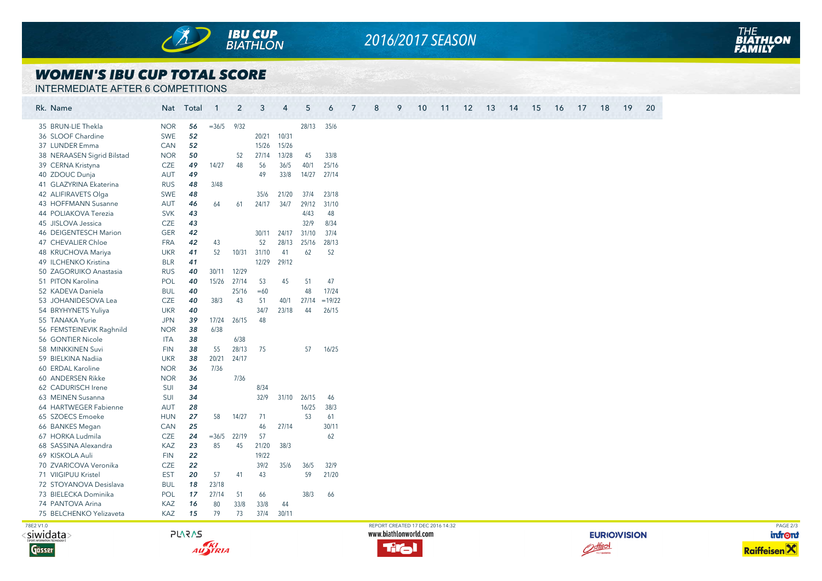

## *2016/2017 SEASON*

### *WOMEN'S IBU CUP TOTAL SCORE*

INTERMEDIATE AFTER 6 COMPETITIONS

| Rk. Name                   |            | Nat Total | $\overline{1}$ | $\overline{2}$ | 3           | $\overline{4}$ | 5     | 6        | 8<br>9<br>10<br>19<br>20<br>7<br>11<br>12<br>13<br>14<br>15<br>16<br>17<br>18 |          |
|----------------------------|------------|-----------|----------------|----------------|-------------|----------------|-------|----------|-------------------------------------------------------------------------------|----------|
| 35 BRUN-LIE Thekla         | <b>NOR</b> | 56        | $=36/5$        | 9/32           |             |                | 28/13 | 35/6     |                                                                               |          |
| 36 SLOOF Chardine          | SWE        | 52        |                |                | 20/21       | 10/31          |       |          |                                                                               |          |
| 37 LUNDER Emma             | CAN        | 52        |                |                | 15/26       | 15/26          |       |          |                                                                               |          |
| 38 NERAASEN Sigrid Bilstad | <b>NOR</b> | 50        |                | 52             | 27/14       | 13/28          | 45    | 33/8     |                                                                               |          |
| 39 CERNA Kristyna          | CZE        | 49        | 14/27          | 48             | 56          | 36/5           | 40/1  | 25/16    |                                                                               |          |
| 40 ZDOUC Dunja             | <b>AUT</b> | 49        |                |                | 49          | 33/8           | 14/27 | 27/14    |                                                                               |          |
| 41 GLAZYRINA Ekaterina     | <b>RUS</b> | 48        | 3/48           |                |             |                |       |          |                                                                               |          |
| 42 ALIFIRAVETS Olga        | SWE        | 48        |                |                | 35/6        | 21/20          | 37/4  | 23/18    |                                                                               |          |
| 43 HOFFMANN Susanne        | <b>AUT</b> | 46        | 64             | 61             | 24/17       | 34/7           | 29/12 | 31/10    |                                                                               |          |
| 44 POLIAKOVA Terezia       | <b>SVK</b> | 43        |                |                |             |                | 4/43  | 48       |                                                                               |          |
| 45 JISLOVA Jessica         | <b>CZE</b> | 43        |                |                |             |                | 32/9  | 8/34     |                                                                               |          |
| 46 DEIGENTESCH Marion      | <b>GER</b> | 42        |                |                | 30/11       | 24/17          | 31/10 | 37/4     |                                                                               |          |
| 47 CHEVALIER Chloe         | <b>FRA</b> | 42        | 43             |                | 52          | 28/13          | 25/16 | 28/13    |                                                                               |          |
| 48 KRUCHOVA Mariya         | <b>UKR</b> | 41        | 52             |                | 10/31 31/10 | 41             | 62    | 52       |                                                                               |          |
| 49 ILCHENKO Kristina       | <b>BLR</b> | 41        |                |                | 12/29       | 29/12          |       |          |                                                                               |          |
| 50 ZAGORUIKO Anastasia     | <b>RUS</b> | 40        |                | 30/11 12/29    |             |                |       |          |                                                                               |          |
| 51 PITON Karolina          | POL        | 40        | 15/26          | 27/14          | 53          | 45             | 51    | 47       |                                                                               |          |
| 52 KADEVA Daniela          | <b>BUL</b> | 40        |                | 25/16          | $=60$       |                | 48    | 17/24    |                                                                               |          |
| 53 JOHANIDESOVA Lea        | CZE        | 40        | 38/3           | 43             | 51          | 40/1           | 27/14 | $=19/22$ |                                                                               |          |
| 54 BRYHYNETS Yuliya        | <b>UKR</b> | 40        |                |                | 34/7        | 23/18          | 44    | 26/15    |                                                                               |          |
| 55 TANAKA Yurie            | <b>JPN</b> | 39        |                | 17/24 26/15    | 48          |                |       |          |                                                                               |          |
| 56 FEMSTEINEVIK Raghnild   | <b>NOR</b> | 38        | 6/38           |                |             |                |       |          |                                                                               |          |
| 56 GONTIER Nicole          | <b>ITA</b> | 38        |                | 6/38           |             |                |       |          |                                                                               |          |
| 58 MINKKINEN Suvi          | <b>FIN</b> | 38        | 55             | 28/13          | 75          |                | 57    | 16/25    |                                                                               |          |
| 59 BIELKINA Nadiia         | <b>UKR</b> | 38        | 20/21          | 24/17          |             |                |       |          |                                                                               |          |
| 60 ERDAL Karoline          | <b>NOR</b> | 36        | 7/36           |                |             |                |       |          |                                                                               |          |
| 60 ANDERSEN Rikke          | <b>NOR</b> | 36        |                | 7/36           |             |                |       |          |                                                                               |          |
| 62 CADURISCH Irene         | SUI        | 34        |                |                | 8/34        |                |       |          |                                                                               |          |
| 63 MEINEN Susanna          | SUI        | 34        |                |                | 32/9        | 31/10          | 26/15 | 46       |                                                                               |          |
| 64 HARTWEGER Fabienne      | <b>AUT</b> | 28        |                |                |             |                | 16/25 | 38/3     |                                                                               |          |
| 65 SZOECS Emoeke           | <b>HUN</b> | 27        | 58             | 14/27          | 71          |                | 53    | 61       |                                                                               |          |
| 66 BANKES Megan            | CAN        | 25        |                |                | 46          | 27/14          |       | 30/11    |                                                                               |          |
| 67 HORKA Ludmila           | <b>CZE</b> | 24        | $=36/5$        | 22/19          | 57          |                |       | 62       |                                                                               |          |
| 68 SASSINA Alexandra       | <b>KAZ</b> | 23        | 85             | 45             | 21/20       | 38/3           |       |          |                                                                               |          |
| 69 KISKOLA Auli            | <b>FIN</b> | 22        |                |                | 19/22       |                |       |          |                                                                               |          |
| 70 ZVARICOVA Veronika      | <b>CZE</b> | 22        |                |                | 39/2        | 35/6           | 36/5  | 32/9     |                                                                               |          |
| 71 VIIGIPUU Kristel        | <b>EST</b> | 20        | 57             | 41             | 43          |                | 59    | 21/20    |                                                                               |          |
| 72 STOYANOVA Desislava     | <b>BUL</b> | 18        | 23/18          |                |             |                |       |          |                                                                               |          |
| 73 BIELECKA Dominika       | POL        | 17        | 27/14          | 51             | 66          |                | 38/3  | 66       |                                                                               |          |
| 74 PANTOVA Arina           | KAZ        | 16        | 80             | 33/8           | 33/8        | 44             |       |          |                                                                               |          |
| 75 BELCHENKO Yelizaveta    | KAZ        | 15        | 79             | 73             | 37/4        | 30/11          |       |          |                                                                               |          |
|                            |            |           |                |                |             |                |       |          | REPORT CREATED 17 DEC 2016 14:32                                              | PAGE 2/3 |
| 78E2 V1.0                  |            |           |                |                |             |                |       |          |                                                                               |          |

<siwidata>







**EURIO)VISION** Ostiiol